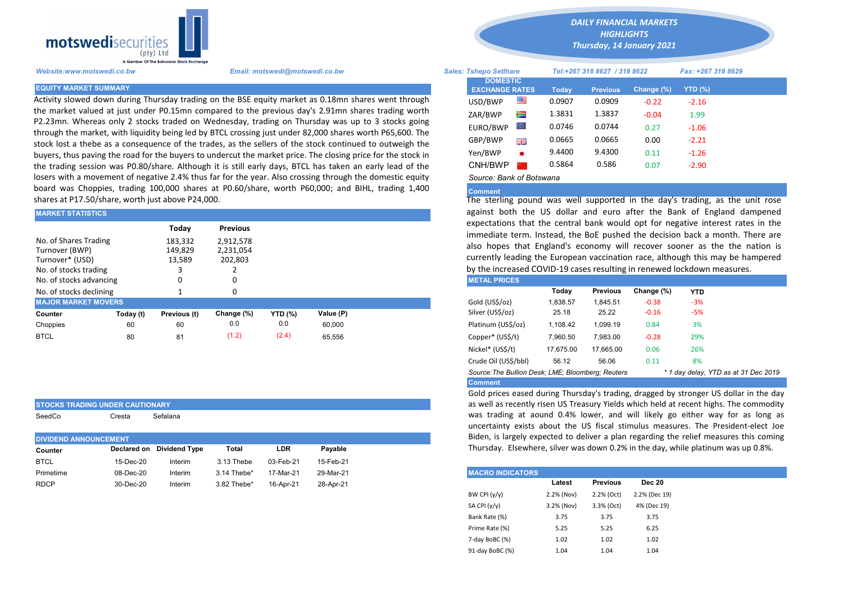

STOCKS TRADING UNDER CAUTIONARY SeedCo Cresta Sefalana

Activity slowed down during Thursday trading on the BSE equity market as 0.18mn shares went through the market valued at just under P0.15mn compared to the previous day's 2.91mn shares trading worth P2.23mn. Whereas only 2 stocks traded on Wednesday, trading on Thursday was up to 3 stocks going through the market, with liquidity being led by BTCL crossing just under 82,000 shares worth P65,600. The stock lost a thebe as a consequence of the trades, as the sellers of the stock continued to outweigh the buyers, thus paving the road for the buyers to undercut the market price. The closing price for the stock in the trading session was P0.80/share. Although it is still early days, BTCL has taken an early lead of the losers with a movement of negative 2.4% thus far for the year. Also crossing through the domestic equity board was Choppies, trading 100,000 shares at P0.60/share, worth P60,000; and BIHL, trading 1,400 shares at P17.50/share, worth just above P24,000.

| <b>MARKET STATISTICS</b>                                                            |           |                              |                                   | against both the US dollar and euro after the Bank of Engli |           |  |                                                                                                                                                                                                       |          |                                                                                                                                    |            |            |  |  |
|-------------------------------------------------------------------------------------|-----------|------------------------------|-----------------------------------|-------------------------------------------------------------|-----------|--|-------------------------------------------------------------------------------------------------------------------------------------------------------------------------------------------------------|----------|------------------------------------------------------------------------------------------------------------------------------------|------------|------------|--|--|
|                                                                                     |           | Today                        | <b>Previous</b>                   |                                                             |           |  |                                                                                                                                                                                                       |          | expectations that the central bank would opt for negative intere<br>immediate term. Instead, the BoE pushed the decision back a mo |            |            |  |  |
| No. of Shares Trading<br>Turnover (BWP)<br>Turnover* (USD)<br>No. of stocks trading |           | 183,332<br>149,829<br>13,589 | 2,912,578<br>2,231,054<br>202,803 |                                                             |           |  | also hopes that England's economy will recover sooner as the<br>currently leading the European vaccination race, although this ma<br>by the increased COVID-19 cases resulting in renewed lockdown me |          |                                                                                                                                    |            |            |  |  |
| No. of stocks advancing                                                             |           |                              |                                   |                                                             |           |  | <b>METAL PRICES</b>                                                                                                                                                                                   |          |                                                                                                                                    |            |            |  |  |
| No. of stocks declining                                                             |           |                              |                                   |                                                             |           |  |                                                                                                                                                                                                       | Today    | <b>Previous</b>                                                                                                                    | Change (%) | <b>YTD</b> |  |  |
| <b>MAJOR MARKET MOVERS</b>                                                          |           |                              |                                   |                                                             |           |  | Gold (US\$/oz)                                                                                                                                                                                        | 1,838.57 | 1.845.51                                                                                                                           | $-0.38$    | $-3%$      |  |  |
| Counter                                                                             | Today (t) | Previous (t)                 | Change (%)                        | <b>YTD (%)</b>                                              | Value (P) |  | Silver (US\$/oz)                                                                                                                                                                                      | 25.18    | 25.22                                                                                                                              | $-0.16$    | $-5%$      |  |  |
| Choppies                                                                            | 60        | 60                           | 0.0                               | 0.0                                                         | 60.000    |  | Platinum (US\$/oz)                                                                                                                                                                                    | 1,108.42 | 1.099.19                                                                                                                           | 0.84       | 3%         |  |  |
| <b>BTCL</b>                                                                         | 80        | 81                           | (1.2)                             | (2.4)                                                       | 65,556    |  | Copper* (US\$/t)                                                                                                                                                                                      | 7,960.50 | 7.983.00                                                                                                                           | $-0.28$    | 29%        |  |  |

| <b>DIVIDEND ANNOUNCEMENT</b> |         |                           |            |           |                         |                 |                                                                                                                                                                     |
|------------------------------|---------|---------------------------|------------|-----------|-------------------------|-----------------|---------------------------------------------------------------------------------------------------------------------------------------------------------------------|
|                              |         | Total                     | <b>LDR</b> | Pavable   |                         |                 |                                                                                                                                                                     |
| 15-Dec-20                    | Interim | 3.13 Thebe                | 03-Feb-21  | 15-Feb-21 |                         |                 |                                                                                                                                                                     |
| 08-Dec-20                    | Interim | $3.14$ Thebe*             | 17-Mar-21  | 29-Mar-21 | <b>MACRO INDICATORS</b> |                 |                                                                                                                                                                     |
| 30-Dec-20                    | Interim | 3.82 Thebe*               | 16-Apr-21  | 28-Apr-21 |                         | <b>Previous</b> | <b>Dec 20</b>                                                                                                                                                       |
|                              |         | Declared on Dividend Type |            |           |                         | Latest          | ancertainty capts about the OS notal stimulus int<br>Biden, is largely expected to deliver a plan regarding<br>Thursday. Elsewhere, silver was down 0.2% in the day |

*DAILY FINANCIAL MARKETS*

*HIGHLIGHTS Thursday, 14 January 2021* 

| A Member Of The Botswana Stock Exchange |                                                                                                                                                                                                              |                               |                                          |           |                              |                 |               |                    |  |
|-----------------------------------------|--------------------------------------------------------------------------------------------------------------------------------------------------------------------------------------------------------------|-------------------------------|------------------------------------------|-----------|------------------------------|-----------------|---------------|--------------------|--|
| Website:www.motswedi.co.bw              | Email: motswedi@motswedi.co.bw                                                                                                                                                                               | <b>Sales: Tshepo Setlhare</b> |                                          |           | Tel:+267 318 8627 / 318 8622 |                 |               | Fax: +267 318 8629 |  |
| <b>EQUITY MARKET SUMMARY</b>            |                                                                                                                                                                                                              |                               | <b>DOMESTIC</b><br><b>EXCHANGE RATES</b> |           | <b>Today</b>                 | <b>Previous</b> | Change $(\%)$ | YTD (%)            |  |
|                                         | Activity slowed down during Thursday trading on the BSE equity market as 0.18mn shares went through                                                                                                          |                               | USD/BWP                                  | 一         | 0.0907                       | 0.0909          | $-0.22$       | $-2.16$            |  |
|                                         | he market valued at just under P0.15mn compared to the previous day's 2.91mn shares trading worth                                                                                                            |                               | ZAR/BWP                                  | ≋         | 1.3831                       | 1.3837          | $-0.04$       | 1.99               |  |
|                                         | 22.23mn. Whereas only 2 stocks traded on Wednesday, trading on Thursday was up to 3 stocks going<br>hrough the market, with liquidity being led by BTCL crossing just under 82,000 shares worth P65,600. The |                               | EURO/BWP                                 | $\circ$   | 0.0746                       | 0.0744          | 0.27          | $-1.06$            |  |
|                                         | tock lost a thebe as a conseguence of the trades, as the sellers of the stock continued to outweigh the                                                                                                      |                               | GBP/BWP                                  | 開開        | 0.0665                       | 0.0665          | 0.00          | $-2.21$            |  |
|                                         | buyers, thus paving the road for the buyers to undercut the market price. The closing price for the stock in                                                                                                 |                               | Yen/BWP                                  | $\bullet$ | 9.4400                       | 9.4300          | 0.11          | $-1.26$            |  |
|                                         | he trading session was P0.80/share. Although it is still early days, BTCL has taken an early lead of the                                                                                                     |                               | CNH/BWP                                  |           | 0.5864                       | 0.586           | 0.07          | $-2.90$            |  |
|                                         | osers with a movement of negative 2.4% thus far for the vear. Also crossing through the domestic equity                                                                                                      |                               | Source: Bank of Botswana                 |           |                              |                 |               |                    |  |

## Comment

The sterling pound was well supported in the day's trading, as the unit rose against both the US dollar and euro after the Bank of England dampened expectations that the central bank would opt for negative interest rates in the immediate term. Instead, the BoE pushed the decision back a month. There are also hopes that England's economy will recover sooner as the the nation is currently leading the European vaccination race, although this may be hampered by the increased COVID-19 cases resulting in renewed lockdown measures.

| <b>METAL PRICES</b>                               |           |                 |            |                                      |  |
|---------------------------------------------------|-----------|-----------------|------------|--------------------------------------|--|
|                                                   | Today     | <b>Previous</b> | Change (%) | <b>YTD</b>                           |  |
| Gold (US\$/oz)                                    | 1.838.57  | 1.845.51        | $-0.38$    | $-3%$                                |  |
| Silver (US\$/oz)                                  | 25.18     | 25.22           | $-0.16$    | $-5%$                                |  |
| Platinum (US\$/oz)                                | 1.108.42  | 1.099.19        | 0.84       | 3%                                   |  |
| Copper* (US\$/t)                                  | 7.960.50  | 7.983.00        | $-0.28$    | 29%                                  |  |
| Nickel* (US\$/t)                                  | 17.675.00 | 17.665.00       | 0.06       | 26%                                  |  |
| Crude Oil (US\$/bbl)                              | 56.12     | 56.06           | 0.11       | 8%                                   |  |
| Source: The Bullion Desk; LME; Bloomberg; Reuters |           |                 |            | * 1 day delay, YTD as at 31 Dec 2019 |  |
| <b>Comment</b>                                    |           |                 |            |                                      |  |

Gold prices eased during Thursday's trading, dragged by stronger US dollar in the day as well as recently risen US Treasury Yields which held at recent highs. The commodity was trading at aound 0.4% lower, and will likely go either way for as long as uncertainty exists about the US fiscal stimulus measures. The President-elect Joe Biden, is largely expected to deliver a plan regarding the relief measures this coming Thursday. Elsewhere, silver was down 0.2% in the day, while platinum was up 0.8%.

| <b>MACRO INDICATORS</b> |            |                 |               |
|-------------------------|------------|-----------------|---------------|
|                         | Latest     | <b>Previous</b> | <b>Dec 20</b> |
| BW CPI $(y/y)$          | 2.2% (Nov) | 2.2% (Oct)      | 2.2% (Dec 19) |
| SA CPI (y/y)            | 3.2% (Nov) | 3.3% (Oct)      | 4% (Dec 19)   |
| Bank Rate (%)           | 3.75       | 3.75            | 3.75          |
| Prime Rate (%)          | 5.25       | 5.25            | 6.25          |
| 7-day BoBC (%)          | 1.02       | 1.02            | 1.02          |
| 91-day BoBC (%)         | 1.04       | 1.04            | 1.04          |